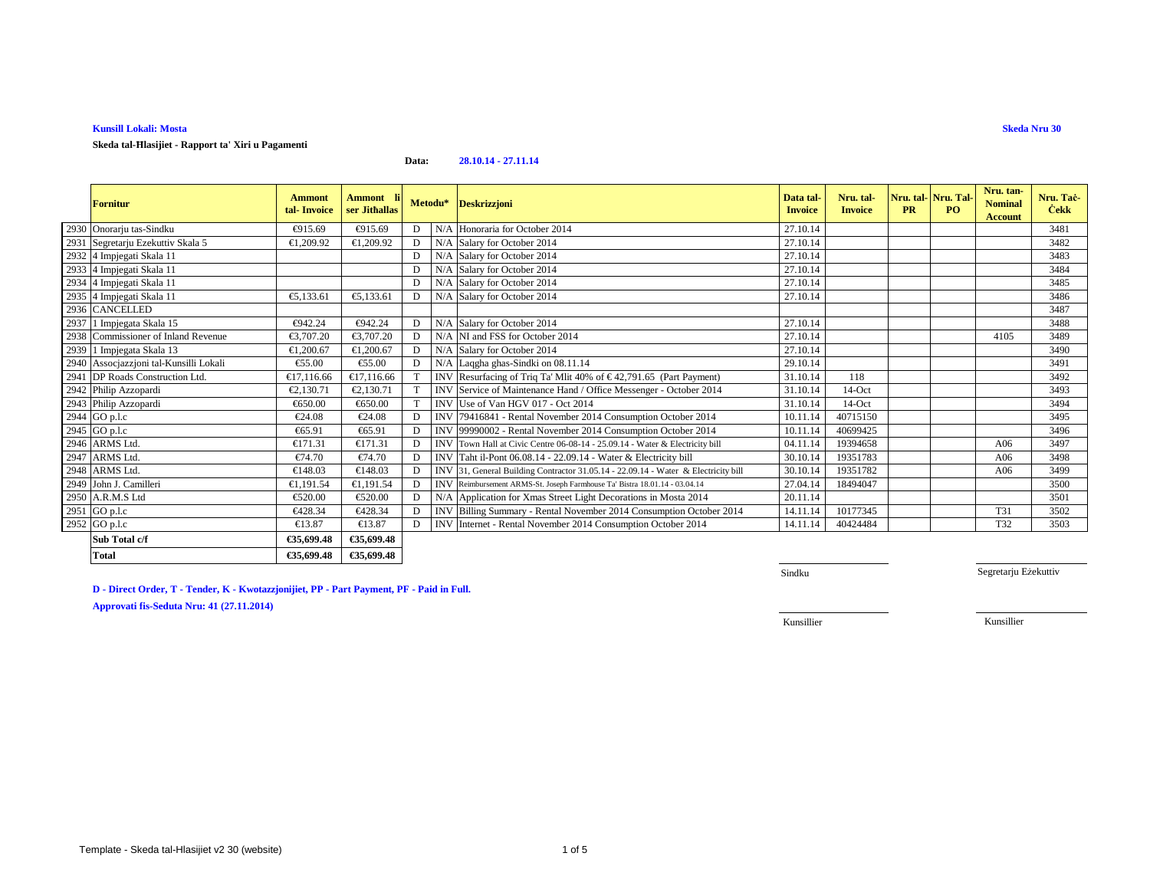### **Kunsill Lokali: Mosta**

**Skeda tal-Ħlasijiet - Rapport ta' Xiri u Pagamenti**

#### **Data:28.10.14 - 27.11.14**

|      | <b>Fornitur</b>                     | <b>Ammont</b><br>tal-Invoice | Ammont li<br>ser Jithallas |    | Metodu* Deskrizzjoni                                                               | Data tal-<br><b>Invoice</b> | Nru. tal-<br><b>Invoice</b> | Nru. tal-Nru. Tal-<br><b>PR</b> | PQ | Nru. tan-<br><b>Nominal</b><br><b>Account</b> | Nru. Tač-<br><b>Cekk</b> |
|------|-------------------------------------|------------------------------|----------------------------|----|------------------------------------------------------------------------------------|-----------------------------|-----------------------------|---------------------------------|----|-----------------------------------------------|--------------------------|
|      | 2930 Onorarju tas-Sindku            | €915.69                      | €915.69                    | D  | N/A Honoraria for October 2014                                                     | 27.10.14                    |                             |                                 |    |                                               | 3481                     |
|      | 2931 Segretarju Ezekuttiv Skala 5   | €1.209.92                    | €1.209.92                  | D  | N/A Salary for Octobe 2014                                                         | 27.10.14                    |                             |                                 |    |                                               | 3482                     |
|      | 2932 4 Impjegati Skala 11           |                              |                            | D  | N/A Salary for October 2014                                                        | 27.10.14                    |                             |                                 |    |                                               | 3483                     |
|      | 2933 4 Impjegati Skala 11           |                              |                            | D  | N/A Salary for October 2014                                                        | 27.10.14                    |                             |                                 |    |                                               | 3484                     |
|      | 2934 4 Impjegati Skala 11           |                              |                            | D  | N/A Salary for October 2014                                                        | 27.10.14                    |                             |                                 |    |                                               | 3485                     |
|      | 2935 4 Impjegati Skala 11           | €5,133.61                    | €5,133.61                  | D  | N/A Salary for October 2014                                                        | 27.10.14                    |                             |                                 |    |                                               | 3486                     |
|      | 2936 CANCELLED                      |                              |                            |    |                                                                                    |                             |                             |                                 |    |                                               | 3487                     |
|      | 2937 1 Impjegata Skala 15           | €942.24                      | €942.24                    | D  | N/A Salary for October 2014                                                        | 27.10.14                    |                             |                                 |    |                                               | 3488                     |
|      | 2938 Commissioner of Inland Revenue | €3,707.20                    | €3,707.20                  | D  | N/A NI and FSS for Otober 2014                                                     | 27.10.14                    |                             |                                 |    | 4105                                          | 3489                     |
|      | 2939 1 Impjegata Skala 13           | €1,200.67                    | €1,200.67                  | D. | N/A Salary for October 2014                                                        | 27.10.14                    |                             |                                 |    |                                               | 3490                     |
| 2940 | Assocjazzjoni tal-Kunsilli Lokali   | €55.00                       | €55.00                     | D  | N/A Laqgha ghas-Sidki on 08.11.14                                                  | 29.10.14                    |                             |                                 |    |                                               | 3491                     |
|      | 2941 DP Roads Construction Ltd.     | €17,116.66                   | €17,116.66                 | T  | INV Resurfacing of Triq T Mlit 40% of $\in$ 42,791.65 (Part Payment)               | 31.10.14                    | 118                         |                                 |    |                                               | 3492                     |
|      | 2942 Philip Azzopardi               | €2,130.71                    | €2,130.71                  |    | INV Service of Maintenance Hand Office Messenger - October 2014                    | 31.10.14                    | $14$ -Oct                   |                                 |    |                                               | 3493                     |
|      | 2943 Philip Azzopardi               | €650.00                      | €650.00                    |    | INV Use of Van HGV 017 - Oct 2014                                                  | 31.10.14                    | $14$ -Oct                   |                                 |    |                                               | 3494                     |
|      | 2944 GO p.l.c                       | €24.08                       | €24.08                     | D  | INV 79416841 - Rental November 2014 Consumption October 2014                       | 10.11.14                    | 40715150                    |                                 |    |                                               | 3495                     |
|      | $2945$ GO p.l.c                     | €65.91                       | €65.91                     | D  | INV 99990002 - Rental November 2014 Consumption October 2014                       | 10.11.14                    | 40699425                    |                                 |    |                                               | 3496                     |
|      | 2946 ARMS Ltd.                      | €171.31                      | €171.31                    | D  | INVITown Hall at Civic Centre 06-08-14 - 25.09.14 - Water & Electricity bill       | 04.11.14                    | 19394658                    |                                 |    | A06                                           | 3497                     |
|      | 2947 ARMS Ltd.                      | €74.70                       | €74.70                     | D  | INV Taht il-Pont 06.08.14 - 22.09.14 - Water & Electicity bill                     | 30.10.14                    | 19351783                    |                                 |    | A06                                           | 3498                     |
|      | 2948 ARMS Ltd.                      | €148.03                      | €148.03                    | D  | INV 31, General Building Contractor 31.05.14 - 22.09.14 - Water & Electricity bill | 30.10.14                    | 19351782                    |                                 |    | A06                                           | 3499                     |
|      | 2949 John J. Camilleri              | €1.191.54                    | €1,191.54                  | D  | INV Reimbursement ARMS-St. Joseph Farmhouse Ta' Bistra 18.01.14 - 03.04.14         | 27.04.14                    | 18494047                    |                                 |    |                                               | 3500                     |
|      | 2950 A.R.M.S Ltd                    | €520.00                      | €520.00                    | D  | N/A Application for Xmas Street Light Decorations in Mosta 2014                    | 20.11.14                    |                             |                                 |    |                                               | 3501                     |
|      | 2951 GO p.l.c                       | €428.34                      | €428.34                    | D  | INV Billing Summary - Rental November 2014 Consumption @tober 2014                 | 14.11.14                    | 10177345                    |                                 |    | T31                                           | 3502                     |
|      | 2952 GO p.l.c                       | €13.87                       | €13.87                     | D. | INV Internet - Rental November 2014 Consumption October 2014                       | 1411.14                     | 40424484                    |                                 |    | T32                                           | 3503                     |
|      | Sub Total c/f                       | €35,699.48                   | €35,699.48                 |    |                                                                                    |                             |                             |                                 |    |                                               |                          |
|      | <b>Total</b>                        | €35,699.48                   | €35,699.48                 |    |                                                                                    |                             |                             |                                 |    |                                               |                          |

**D - Direct Order, T - Tender, K - Kwotazzjonijiet, PP - Part Payment, PF - Paid in Full.**

**Approvati fis-Seduta Nru: 41 (27.11.2014)**

Sindku

Segretarju Eżekuttiv

Kunsillier

Kunsillier

**Skeda Nru 30**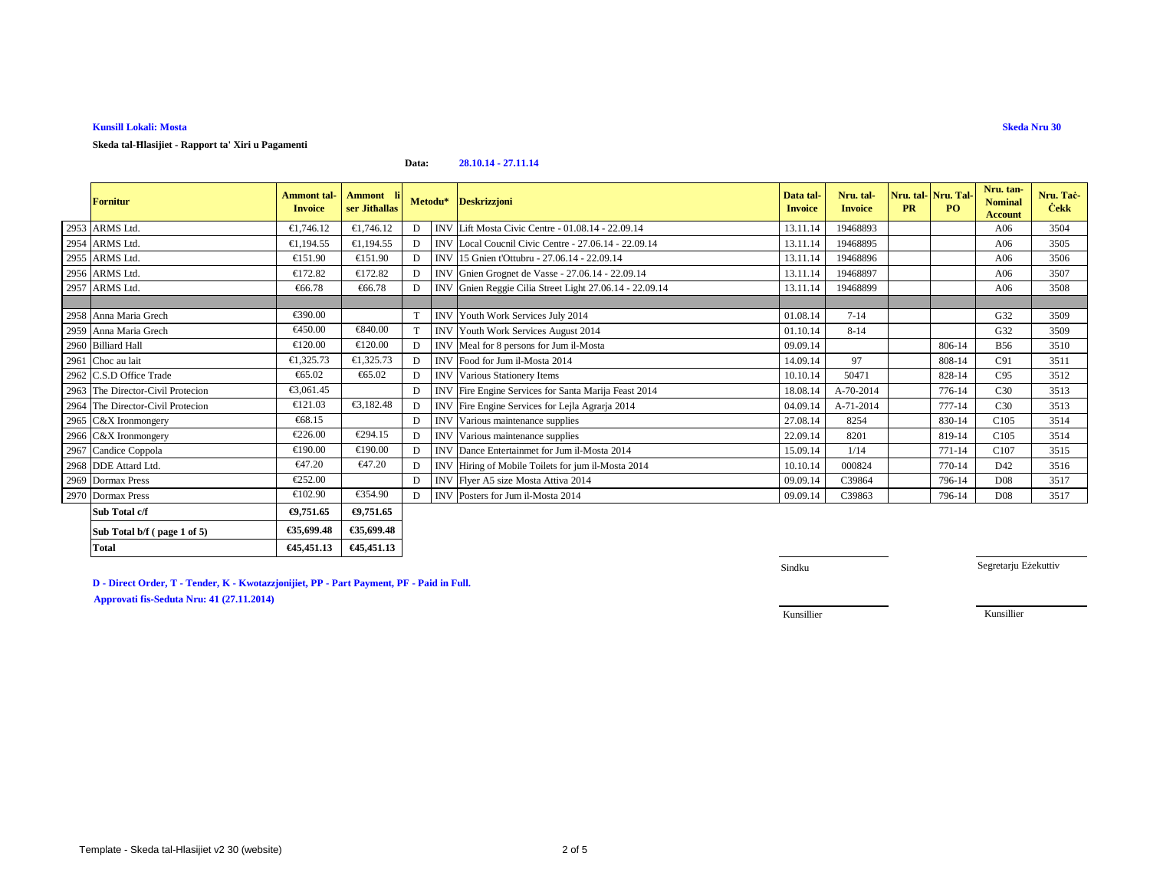## **Kunsill Lokali: Mosta**

**Skeda tal-Ħlasijiet - Rapport ta' Xiri u Pagamenti**

#### **Data:28.10.14 - 27.11.14**

| <b>Fornitur</b>                   | <b>Ammont</b> tal-<br><b>Invoice</b> | Ammont li<br>ser Jithallas | Metodu* |            | <b>Deskrizzjoni</b>                                    | Data tal-<br><b>Invoice</b> | Nru. tal-<br><b>Invoice</b> | <b>PR</b> | Nru. tal-Nru. Tal-<br>PO. | Nru. tan-<br><b>Nominal</b><br><b>Account</b> | Nru. Tac-<br><b>Cekk</b> |
|-----------------------------------|--------------------------------------|----------------------------|---------|------------|--------------------------------------------------------|-----------------------------|-----------------------------|-----------|---------------------------|-----------------------------------------------|--------------------------|
| 2953 ARMS Ltd.                    | €1,746.12                            | €1,746.12                  | D       | <b>INV</b> | Lift Mosta Civic Centre - 01.08.14 - 22.0914           | 13.11.14                    | 19468893                    |           |                           | A06                                           | 3504                     |
| 2954 ARMS Ltd.                    | €1,194,55                            | €1,194.55                  | D       |            | INV Local Coucnil Civic Centre - 27.06.14 22.09.14     | 13.11.14                    | 19468895                    |           |                           | A06                                           | 3505                     |
| 2955 ARMS Ltd.                    | €151.90                              | €151.90                    | D       | <b>INV</b> | 15 Gnien t'Ottubru - 27.06.14 - 22.09.14               | 13.11.14                    | 19468896                    |           |                           | A06                                           | 3506                     |
| 2956 ARMS Ltd.                    | €172.82                              | €172.82                    | D       |            | INV Gnien Grognet de Vasse - 27.06.14 - 22.09.14       | 13.11.14                    | 19468897                    |           |                           | A06                                           | 3507                     |
| 2957 ARMS Ltd.                    | €66.78                               | €66.78                     | D       |            | INV Gnien Reggie Cilia Street Light 27.0614 - 22.09.14 | 13.11.14                    | 19468899                    |           |                           | A06                                           | 3508                     |
|                                   |                                      |                            |         |            |                                                        |                             |                             |           |                           |                                               |                          |
| 2958 Anna Maria Grech             | €390.00                              |                            |         |            | INV Youth Work Services July 2014                      | 01.08.14                    | $7 - 14$                    |           |                           | G32                                           | 3509                     |
| 2959 Anna Maria Grech             | €450.00                              | €840.00                    |         |            | <b>INV</b> Youth Work Services August 2014             | 01.10.14                    | $8 - 14$                    |           |                           | G32                                           | 3509                     |
| 2960 Billiard Hall                | €120.00                              | €120.00                    | D       |            | INV Meal for 8 persons for Jum il-Mosta                | 09.09.14                    |                             |           | 806-14                    | <b>B56</b>                                    | 3510                     |
| 2961 Choc au lait                 | €1,325.73                            | €1,325.73                  | D       |            | INV Food for Jum il-Mosta 2014                         | 14.09.14                    | 97                          |           | 808-14                    | C91                                           | 3511                     |
| 2962 C.S.D Office Trade           | €65.02                               | €65.02                     | D       |            | <b>INV</b> Various Stationery Items                    | 10.10.14                    | 50471                       |           | 828-14                    | C95                                           | 3512                     |
| 2963 The Director-Civil Protecion | €3,061.45                            |                            | D       |            | INV Fire Engine Services for Santa Marija Feast 2014   | 18.08.14                    | A-70-2014                   |           | 776-14                    | C30                                           | 3513                     |
| 2964 The Director-Civil Protecion | €121.03                              | €3,182.48                  | D       |            | INV Fire Engine Services for Lejla Agrarja 2014        | 04.09.14                    | A-71-2014                   |           | 777-14                    | C30                                           | 3513                     |
| 2965 C&X Ironmongery              | €68.15                               |                            | D       |            | INV Various maintenance supplies                       | 27.08.14                    | 8254                        |           | 830-14                    | C <sub>105</sub>                              | 3514                     |
| 2966 C&X Ironmongery              | €226.00                              | €294.15                    | D       |            | INV Various maintenance supplies                       | 22.09.14                    | 8201                        |           | 819-14                    | C <sub>105</sub>                              | 3514                     |
| 2967 Candice Coppola              | €190.00                              | €190.00                    | D       |            | INV Dance Entertainmet for Jum il-Mosta 2014           | 15.09.14                    | 1/14                        |           | 771-14                    | C <sub>107</sub>                              | 3515                     |
| 2968 DDE Attard Ltd.              | €47.20                               | €47.20                     |         |            | INV Hiring of Mobile Toilets for jum il-Mosta 2014     | 10.10.14                    | 000824                      |           | 770-14                    | D42                                           | 3516                     |
| 2969 Dormax Press                 | €252.00                              |                            | D       |            | INV Flver A5 size Mosta Attiva 2014                    | 09.09.14                    | C39864                      |           | 796-14                    | D <sub>08</sub>                               | 3517                     |
| 2970 Dormax Press                 | €102.90                              | €354.90                    | D       |            | INV Posters for Jum il-Mosta 2014                      | 09.09.14                    | C39863                      |           | 796-14                    | D <sub>08</sub>                               | 3517                     |
| Sub Total c/f                     | €9,751.65                            | €9,751.65                  |         |            |                                                        |                             |                             |           |                           |                                               |                          |
| Sub Total b/f (page 1 of 5)       | €35,699.48                           | €35,699.48                 |         |            |                                                        |                             |                             |           |                           |                                               |                          |
| <b>Total</b>                      | €45,451.13                           | €45,451.13                 |         |            |                                                        |                             |                             |           |                           |                                               |                          |

**D - Direct Order, T - Tender, K - Kwotazzjonijiet, PP - Part Payment, PF - Paid in Full.**

**Approvati fis-Seduta Nru: 41 (27.11.2014)**

Sindku

Segretarju Eżekuttiv

Kunsillier

Kunsillier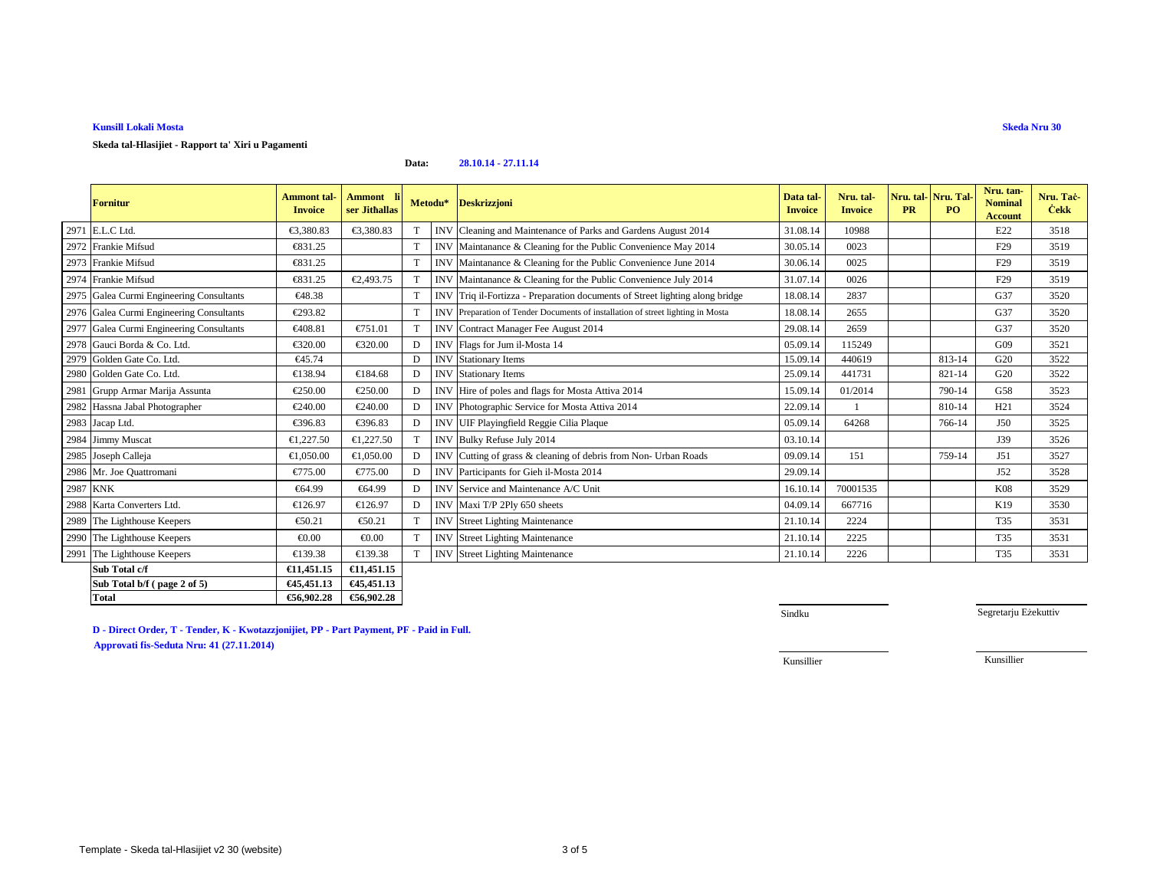### **Kunsill Lokali Mosta**

#### **Data:28.10.14 - 27.11.14**

|          | <b>Fornitur</b>                          | <b>Ammont</b> tal-<br><b>Invoice</b> | <b>Ammont</b><br>ser Jithallas | Metodu*      |            | <b>Deskrizzjoni</b>                                                             | Data tal-<br><b>Invoice</b> | Nru. tal-<br><b>Invoice</b> | Nru. tal- Nru. Tal-<br><b>PR</b> | <b>PO</b> | Nru. tan-<br><b>Nominal</b><br><b>Account</b> | Nru. Tač-<br><b>Cekk</b> |
|----------|------------------------------------------|--------------------------------------|--------------------------------|--------------|------------|---------------------------------------------------------------------------------|-----------------------------|-----------------------------|----------------------------------|-----------|-----------------------------------------------|--------------------------|
|          | 2971 E.L.C Ltd.                          | €3.380.83                            | €3,380.83                      | T            | <b>INV</b> | Cleaning and Maintenance of Parksand Gardens August 2014                        | 31.08.14                    | 10988                       |                                  |           | E22                                           | 3518                     |
|          | 2972 Frankie Mifsud                      | €831.25                              |                                |              |            | INV Maintanance & Cleaning for the Rublic Convenience May 2014                  | 30.05.14                    | 0023                        |                                  |           | F <sub>29</sub>                               | 3519                     |
|          | 2973 Frankie Mifsud                      | €831.25                              |                                |              |            | INV Maintanance & Cleaning for the Rublic Convenience June 2014                 | 30.06.14                    | 0025                        |                                  |           | F <sub>29</sub>                               | 3519                     |
|          | 2974 Frankie Mifsud                      | €831.25                              | €2,493.75                      | T            |            | INV Maintanance & Cleaning for the Public Convenience July 2014                 | 31.07.14                    | 0026                        |                                  |           | F <sub>29</sub>                               | 3519                     |
|          | 2975 Galea Curmi Engineering Consultants | €48.38                               |                                |              |            | INV Triq il-Fortzza - Preparation documents of Street lighting along bridge     | 18.08.14                    | 2837                        |                                  |           | G37                                           | 3520                     |
|          | 2976 Galea Curmi Engineering Consultants | €293.82                              |                                |              |            | INV Preparation of Tender Documents of installation of street lighting in Mosta | 18.08.14                    | 2655                        |                                  |           | G37                                           | 3520                     |
|          | 2977 Galea Curmi Engineering Consultants | €408.81                              | €751.01                        | T            | <b>INV</b> | ContractManager Fee August 2014                                                 | 29.08.14                    | 2659                        |                                  |           | G37                                           | 3520                     |
|          | 2978 Gauci Borda & Co. Ltd.              | €320.00                              | €320.00                        | D            |            | INV Flags for Jum il-Mosta 14                                                   | 05.09.14                    | 115249                      |                                  |           | G09                                           | 3521                     |
|          | 2979 Golden Gate Co. Ltd.                | €45.74                               |                                | D            |            | <b>INV</b> Stationary Items                                                     | 15.09.14                    | 440619                      |                                  | 813-14    | G20                                           | 3522                     |
|          | 2980 Golden Gate Co. Ltd.                | €138.94                              | €184.68                        | D            | <b>INV</b> | <b>Stationary Items</b>                                                         | 25.09.14                    | 441731                      |                                  | 821-14    | G20                                           | 3522                     |
|          | 2981 Grupp Armar Marija Assunta          | €250.00                              | €250.00                        | D            | <b>INV</b> | Hire of poles and flag for Mosta Attiva 2014                                    | 15.09.14                    | 01/2014                     |                                  | 790-14    | G58                                           | 3523                     |
|          | 2982 Hassna Jabal Photographer           | €240.00                              | €240.00                        | D            |            | INV Photographic Service forMosta Attiva 2014                                   | 22.09.14                    |                             |                                  | 810-14    | H21                                           | 3524                     |
|          | 2983 Jacap Ltd.                          | €396.83                              | €396.83                        | D            |            | INV UIF Playingfield Reggie Cilia Plaque                                        | 05.09.14                    | 64268                       |                                  | 766-14    | <b>J50</b>                                    | 3525                     |
|          | 2984 Jimmy Muscat                        | €1,227.50                            | €1,227.50                      |              |            | INV Bulky Refuse July 2014                                                      | 03.10.14                    |                             |                                  |           | J39                                           | 3526                     |
|          | 2985 Joseph Calleja                      | €1,050.00                            | €1,050.00                      | D            | <b>INV</b> | Cutting of grass & cleaning offebris from Non- Urban Roads                      | 09.09.14                    | 151                         |                                  | 759-14    | J51                                           | 3527                     |
|          | 2986 Mr. Joe Quattromani                 | €775.00                              | €775.00                        | D            | <b>INV</b> | Participants for Gieh il-Mota 2014                                              | 29.09.14                    |                             |                                  |           | J52                                           | 3528                     |
| 2987 KNK |                                          | €64.99                               | €64.99                         | D            | <b>INV</b> | Service and Maintenance A/C Unit                                                | 16.10.14                    | 70001535                    |                                  |           | <b>K08</b>                                    | 3529                     |
|          | 2988 Karta Converters Ltd.               | €126.97                              | €126.97                        | D            |            | INV Maxi T/P 2Ply 650 sheets                                                    | 04.09.14                    | 667716                      |                                  |           | K19                                           | 3530                     |
|          | 2989 The Lighthouse Keepers              | €50.21                               | €50.21                         | T            | <b>INV</b> | <b>Street Lighting Mainteance</b>                                               | 21.10.14                    | 2224                        |                                  |           | T35                                           | 3531                     |
|          | 2990 The Lighthouse Keepers              | € $0.00$                             | € $0.00$                       | T.           | <b>INV</b> | <b>Street Lighting Mainteance</b>                                               | 21.10.14                    | 2225                        |                                  |           | T35                                           | 3531                     |
|          | 2991 The Lighthouse Keepers              | €139.38                              | €139.38                        | <sup>T</sup> |            | <b>INV</b> Street Lighting Maintnance                                           | 21.10.14                    | 2226                        |                                  |           | T35                                           | 3531                     |
|          | Sub Total c/f                            | €11,451.15                           | €11,451.15                     |              |            |                                                                                 |                             |                             |                                  |           |                                               |                          |
|          | Sub Total b/f (page 2 of 5)              | €45,451.13                           | €45,451.13                     |              |            |                                                                                 |                             |                             |                                  |           |                                               |                          |
|          | <b>Total</b>                             | €56,902.28                           | €56,902.28                     |              |            |                                                                                 |                             |                             |                                  |           |                                               |                          |

**D - Direct Order, T - Tender, K - Kwotazzjonijiet, PP - Part Payment, PF - Paid in Full.Approvati fis-Seduta Nru: 41 (27.11.2014)**

Sindku

Segretarju Eżekuttiv

Kunsillier

Kunsillier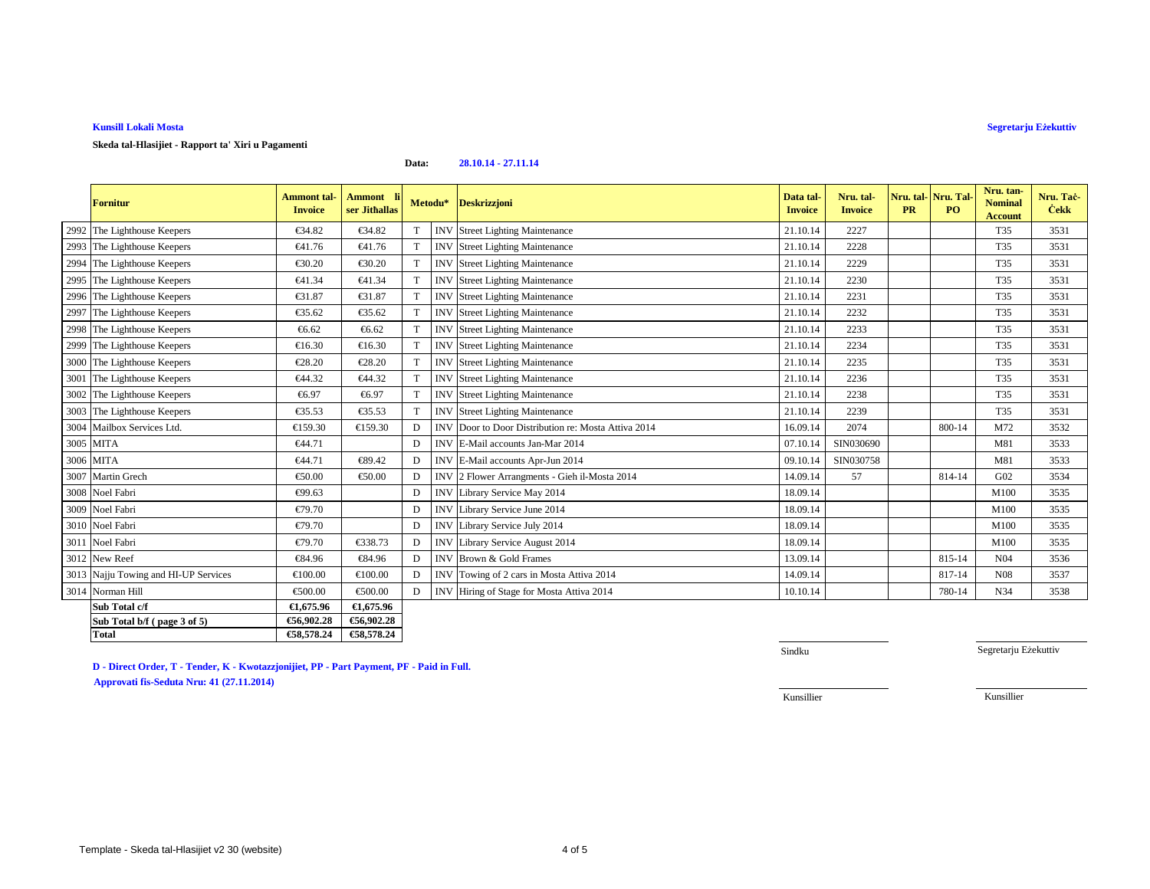## **Kunsill Lokali Mosta**

# **Segretarju Eżekuttiv**

### **Skeda tal-Hlasijiet - Rapport ta' Xiri u Pagamenti**

#### **Data:28.10.14 - 27.11.14**

|      | <b>Fornitur</b>                      | <b>Ammont</b> tal-<br><b>Invoice</b> | Ammont li<br>ser Jithallas |   | Metodu*    | <b>Deskrizzjoni</b>                             | Data tal-<br><b>Invoice</b> | Nru. tal-<br><b>Invoice</b> | Nru. tal-Nru. Tal-<br><b>PR</b> | <b>PO</b> | Nru. tan-<br><b>Nominal</b><br><b>Account</b> | Nru. Tac-<br><b>Cekk</b> |
|------|--------------------------------------|--------------------------------------|----------------------------|---|------------|-------------------------------------------------|-----------------------------|-----------------------------|---------------------------------|-----------|-----------------------------------------------|--------------------------|
|      | 2992 The Lighthouse Keepers          | €34.82                               | €34.82                     | T | <b>INV</b> | <b>Street Lighting Mainteance</b>               | 21.10.14                    | 2227                        |                                 |           | T35                                           | 3531                     |
|      | 2993 The Lighthouse Keepers          | €41.76                               | €41.76                     | T | <b>INV</b> | <b>Street Lighting Mainteance</b>               | 21.10.14                    | 2228                        |                                 |           | T35                                           | 3531                     |
|      | 2994 The Lighthouse Keepers          | €30.20                               | €30.20                     | T | <b>INV</b> | <b>Street Lighting Mainteance</b>               | 21.10.14                    | 2229                        |                                 |           | T35                                           | 3531                     |
|      | 2995 The Lighthouse Keepers          | €41.34                               | €41.34                     | T | <b>INV</b> | <b>Street Lighting Mainteance</b>               | 21.10.14                    | 2230                        |                                 |           | T35                                           | 3531                     |
|      | 2996 The Lighthouse Keepers          | €31.87                               | €31.87                     | T | <b>INV</b> | <b>Street Lighting Mainteance</b>               | 21.10.14                    | 2231                        |                                 |           | <b>T35</b>                                    | 3531                     |
|      | 2997 The Lighthouse Keepers          | €35.62                               | €35.62                     | T | <b>INV</b> | <b>Street Lighting Mainteance</b>               | 21.10.14                    | 2232                        |                                 |           | T35                                           | 3531                     |
|      | 2998 The Lighthouse Keepers          | €6.62                                | €6.62                      | T | <b>INV</b> | <b>Street Lighting Mainteance</b>               | 21.10.14                    | 2233                        |                                 |           | T35                                           | 3531                     |
|      | 2999 The Lighthouse Keepers          | €16.30                               | €16.30                     | T | <b>INV</b> | <b>Street Lighting Mainteance</b>               | 21.10.14                    | 2234                        |                                 |           | <b>T35</b>                                    | 3531                     |
|      | 3000 The Lighthouse Keepers          | $\epsilon$ 28.20                     | €28.20                     | T | <b>INV</b> | <b>Street Lighting Mainteance</b>               | 21.10.14                    | 2235                        |                                 |           | T35                                           | 3531                     |
| 3001 | The Lighthouse Keepers               | €44.32                               | €44.32                     | T | <b>INV</b> | <b>Street Lighting Mainteance</b>               | 21.10.14                    | 2236                        |                                 |           | T35                                           | 3531                     |
|      | 3002 The Lighthouse Keepers          | €6.97                                | €6.97                      | T | <b>INV</b> | <b>Street Lighting Mainteance</b>               | 21.10.14                    | 2238                        |                                 |           | <b>T35</b>                                    | 3531                     |
|      | 3003 The Lighthouse Keepers          | $\epsilon$ 35.53                     | €35.53                     | T | <b>INV</b> | <b>Street Lighting Mainteance</b>               | 21.10.14                    | 2239                        |                                 |           | T35                                           | 3531                     |
|      | 3004 Mailbox Services Ltd.           | €159.30                              | €159.30                    | D | <b>INV</b> | Door to Door Distribution re: Mosta Attiva 2014 | 16.09.14                    | 2074                        |                                 | 800-14    | M72                                           | 3532                     |
|      | 3005 MITA                            | €44.71                               |                            | D | <b>INV</b> | E-Mail accounts Jan-Mar 2014                    | 07.10.14                    | SIN030690                   |                                 |           | M81                                           | 3533                     |
|      | 3006 MITA                            | €44.71                               | €89.42                     | D | <b>INV</b> | E-Mail accounts Apr-Jun 2014                    | 09.10.14                    | SIN030758                   |                                 |           | M81                                           | 3533                     |
|      | 3007 Martin Grech                    | €50.00                               | €50.00                     | D | <b>INV</b> | 2 Flower Arrangments - Gieh il-Mosta 2014       | 14.09.14                    | 57                          |                                 | 814-14    | G <sub>02</sub>                               | 3534                     |
|      | 3008 Noel Fabri                      | €99.63                               |                            | D |            | INV Library Service May 2014                    | 18.09.14                    |                             |                                 |           | M100                                          | 3535                     |
|      | 3009 Noel Fabri                      | €79.70                               |                            | D |            | INV Library Service June 2014                   | 18.09.14                    |                             |                                 |           | M100                                          | 3535                     |
|      | 3010 Noel Fabri                      | €79.70                               |                            | D | <b>INV</b> | Library Service July 2014                       | 18.09.14                    |                             |                                 |           | M100                                          | 3535                     |
|      | 3011 Noel Fabri                      | €79.70                               | €338.73                    | D | <b>INV</b> | Library Service August 2014                     | 18.09.14                    |                             |                                 |           | M100                                          | 3535                     |
|      | 3012 New Reef                        | €84.96                               | €84.96                     | D | <b>INV</b> | Brown & Gold Frames                             | 13.09.14                    |                             |                                 | 815-14    | N <sub>04</sub>                               | 3536                     |
|      | 3013 Najju Towing and HI-UP Services | €100.00                              | €100.00                    | D | <b>INV</b> | Towing of 2 carsin Mosta Attiva 2014            | 14.09.14                    |                             |                                 | 817-14    | N <sub>08</sub>                               | 3537                     |
|      | 3014 Norman Hill                     | €500.00                              | €500.00                    | D | <b>INV</b> | Hiring of Stage for Mosta Attiva 2014           | 10.10.14                    |                             |                                 | 780-14    | N34                                           | 3538                     |
|      | Sub Total c/f                        | €1.675.96                            | €1,675.96                  |   |            |                                                 |                             |                             |                                 |           |                                               |                          |
|      | Sub Total b/f (page 3 of 5)          | €56,902.28                           | €56,902.28                 |   |            |                                                 |                             |                             |                                 |           |                                               |                          |
|      | <b>Total</b>                         | €58,578.24                           | €58,578.24                 |   |            |                                                 |                             |                             |                                 |           |                                               |                          |

**D - Direct Order, T - Tender, K - Kwotazzjonijiet, PP - Part Payment, PF - Paid in Full.Approvati fis-Seduta Nru: 41 (27.11.2014)**

Sindku

Segretarju Eżekuttiv

Kunsillier

Kunsillier